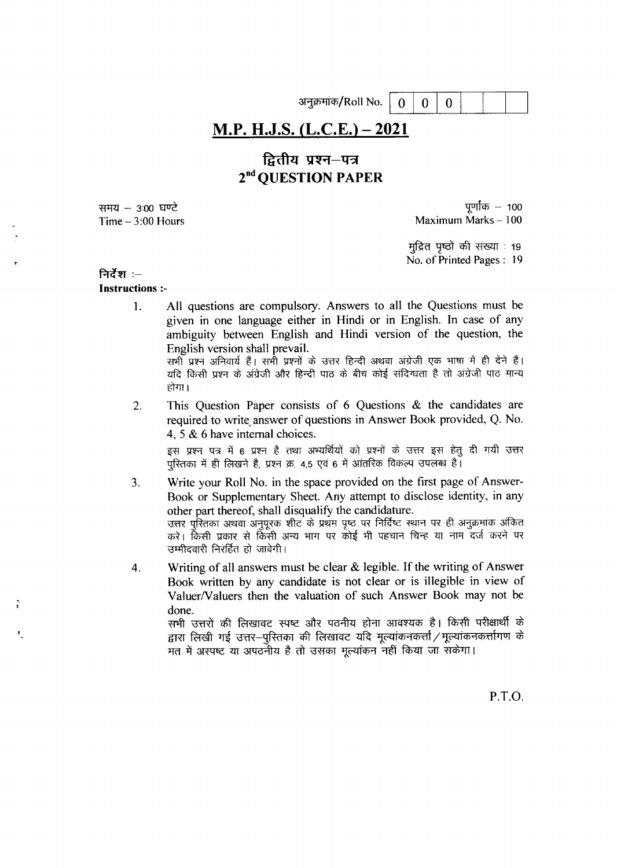अनुक्रमांक/Roll No.

 $\overline{0}$ 

 $\theta$ 

 $\Omega$ 

# M.P. H.J.S. (L.C.E.) – 2021

# द्वितीय प्रश्न—पत्र 2<sup>nd</sup> OUESTION PAPER

समय – 3:00 घण्टे Time  $-3:00$  Hours

पूर्णांक  $-$  100 Maximum Marks-100

मद्रित पष्ठों की संख्या : 19 No. of Printed Pages: 19

# निर्देश :-

# **Instructions:-**

All questions are compulsory. Answers to all the Questions must be  $\mathbf{1}$ . given in one language either in Hindi or in English. In case of any ambiguity between English and Hindi version of the question, the English version shall prevail.

सभी प्रश्न अनिवार्य हैं। सभी प्रश्नों के उत्तर हिन्दी अथवा अंग्रेजी एक भाषा में ही देने हैं। यदि किसी प्रश्न के अंग्रेजी और हिन्दी पाठ के बीच कोई संदिग्धता है तो अंग्रेजी पाठ मान्य होगा।

This Question Paper consists of 6 Questions & the candidates are  $2<sub>1</sub>$ required to write answer of questions in Answer Book provided, Q. No. 4.5 & 6 have internal choices.

इस प्रश्न पत्र में 6 प्रश्न है तथा अभ्यर्थियों को प्रश्नों के उत्तर इस हेतू दी गयी उत्तर परितका में ही लिखने है, प्रश्न क्र. 4,5 एवं 6 में आंतरिक विकल्प उपलब्ध है।

- Write your Roll No. in the space provided on the first page of Answer-3. Book or Supplementary Sheet. Any attempt to disclose identity, in any other part thereof, shall disqualify the candidature. उत्तर पुस्तिका अथवा अनुपूरक शीट के प्रथम पृष्ठ पर निर्दिष्ट स्थान पर ही अनुक्रमांक अंकित करें। किसी प्रकार से किसी अन्य भाग पर कोई भी पहचान चिन्ह या नाम दर्ज करने पर उम्मीदवारी निरर्हित हो जावेगी।
- Writing of all answers must be clear  $\&$  legible. If the writing of Answer  $\overline{4}$ . Book written by any candidate is not clear or is illegible in view of Valuer/Valuers then the valuation of such Answer Book may not be done.

सभी उत्तरों की लिखावट स्पष्ट और पठनीय होना आवश्यक है। किसी परीक्षार्थी के द्वारा लिखी गई उत्तर-पुरितका की लिखावट यदि मुल्यांकनकर्त्ता / मुल्यांकनकर्त्तागण के मत में अस्पष्ट या अपठनीय है तो उसका मूल्यांकन नहीं किया जा सकेगा।

P.T.O.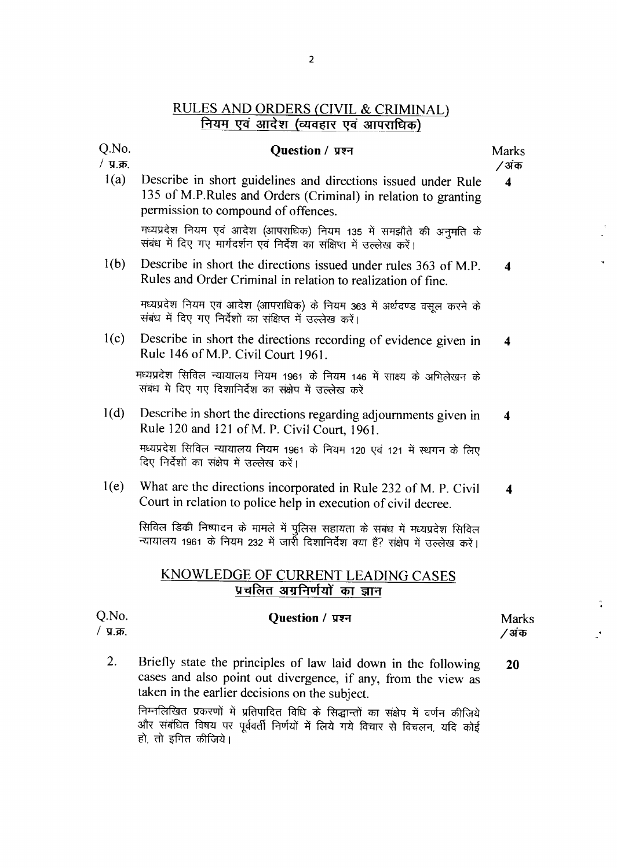# **RULES AND ORDERS (CIVIL & CRIMINAL)** नियम एवं आदेश (व्यवहार एवं आपराधिक)

### Question / प्रश्न

**Marks** /अंक

 $\overline{\mathbf{4}}$ 

 $1(a)$ Describe in short guidelines and directions issued under Rule 135 of M.P.Rules and Orders (Criminal) in relation to granting permission to compound of offences.

Q.No.

/  $y.\overline{x}$ .

मध्यप्रदेश नियम एवं आदेश (आपराधिक) नियम 135 में समझौते की अनमति के संबंध में दिए गए मार्गदर्शन एवं निर्देश का संक्षिप्त में उल्लेख करें।

Describe in short the directions issued under rules 363 of M.P.  $1(b)$  $\overline{\mathbf{4}}$ Rules and Order Criminal in relation to realization of fine.

मध्यप्रदेश नियम एवं आदेश (आपराधिक) के नियम 363 में अर्थदण्ड वसूल करने के संबंध में दिए गए निर्देशों का संक्षिप्त में उल्लेख करें।

Describe in short the directions recording of evidence given in  $1(c)$  $\overline{\mathbf{4}}$ Rule 146 of M.P. Civil Court 1961.

मध्यप्रदेश सिविल न्यायालय नियम 1961 के नियम 146 में साक्ष्य के अभिलेखन के संबंध में दिए गए दिशानिर्देश का संक्षेप में उल्लेख करें

- $1(d)$ Describe in short the directions regarding adjournments given in  $\boldsymbol{4}$ Rule 120 and 121 of M. P. Civil Court, 1961. मध्यप्रदेश सिविल न्यायालय नियम 1961 के नियम 120 एवं 121 में स्थगन के लिए दिए निर्देशों का संक्षेप में उल्लेख करें।
- What are the directions incorporated in Rule 232 of M. P. Civil  $1(e)$  $\boldsymbol{4}$ Court in relation to police help in execution of civil decree.

सिविल डिक्री निष्पादन के मामले में पुलिस सहायता के संबंध में मध्यप्रदेश सिविल न्यायालय 1961 के नियम 232 में जार्रो दिशानिर्देश क्या हैं? संक्षेप में उल्लेख करें।

# KNOWLEDGE OF CURRENT LEADING CASES प्रचलित अग्रनिर्णयों का ज्ञान

| Q.No.<br>/ प्र.क्र. | Question / प्रश्न                                                                                                                                                                         | <b>Marks</b><br>⁄ अंक |
|---------------------|-------------------------------------------------------------------------------------------------------------------------------------------------------------------------------------------|-----------------------|
| 2.                  | Briefly state the principles of law laid down in the following<br>cases and also point out divergence, if any, from the view as<br>taken in the earlier decisions on the subject.         | 20                    |
|                     | निम्नलिखित प्रकरणों में प्रतिपादित विधि के सिद्धान्तों का संक्षेप में वर्णन कीजिये<br>और संबंधित विषय पर पूर्ववर्ती निर्णयों में लिये गये विचार से विचलन, यदि कोई<br>हो, तो इंगित कीजिये। |                       |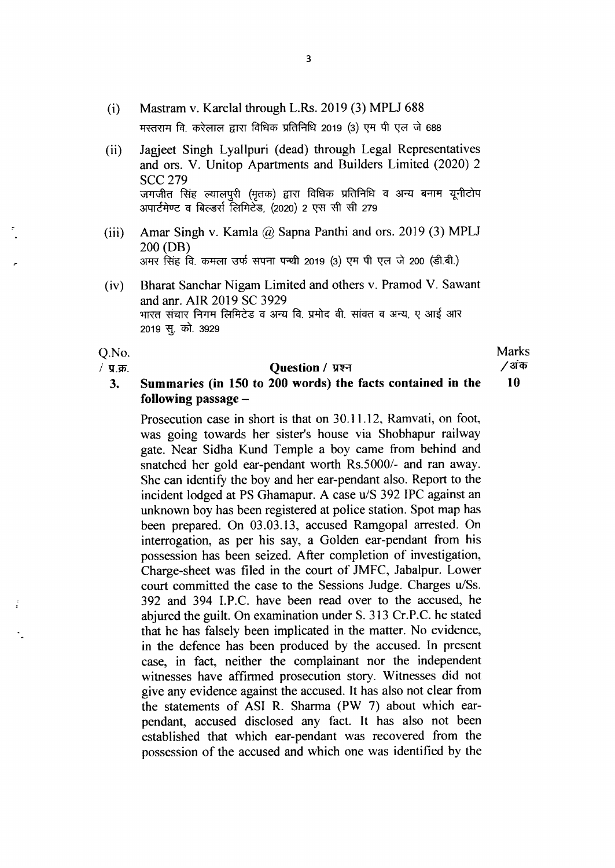- (i) Mastram v. Karelal through L.Rs. 2019 (3) MPLJ 688 मस्तराम वि. करेलाल द्वारा विधिक प्रतिनिधि 2019 (3) एम पी एल जे 688
- (ii) Jagjeet Singh Lyallpuri (dead) through Legal Representatives and ors. V. Unitop Apartments and Builders Limited (2020) 2 SCC 279 जगजीत सिंह ल्यालपुरी (मृतक) द्वारा विधिक प्रतिनिधि व अन्य बनाम यूनीटोप अपार्टमेण्ट व बिल्डर्स लिमिटेड, (2020) 2 एस सी सी 279
- (iii) Amar Singh v. Kamla  $\omega$  Sapna Panthi and ors. 2019 (3) MPLJ 200 (DB) 3ामर सिंह वि. कमला उर्फ सपना पन्थी 2019 (3) एम पी एल जे 200 (डी.बी.)
- (iv) Bharat sanchar Nigam Limited and others v. Pramod v. Sawant and anr. AIR 2019 SC 3929 भारत संचार निगम लिमिटेड व अन्य वि. प्रमोद वी. सावत व अन्य, ए आई आर 2019 सू. को. 3929

Q.No.

/  $\Pi$ .क्र.

### Question / प्रश्न

**Marks** /अंक 10

#### Summaries (in 150 to 200 words) the facts contained in the  $3.$ following passage  $-$

Prosecution case in short is that on 30.11.12, Ramvati, on foot, was going towards her sister's house via Shobhapur railway gate. Near Sidha Kund Temple a boy came from behind and snatched her gold ear-pendant worth Rs.5000/- and ran away. She can identify the boy and her ear-pendant also. Report to the incident lodged at PS Ghamapur. A case u/S 392 IPC against an unknown boy has been registered at police station. Spot map has been prepared. On 03.03.13, accused Ramgopal arrested. On interrogation, as per his say, a Golden ear-pendant from his possession has been seized. After completion of investigation, Charge-sheet was filed in the court of JMFC, Jabalpur. Lower court committed the case to the Sessions Judge. Charges u/Ss. 392 and 394 I.P.C. have been read over to the accused, he abjured the guilt. On examination under S. 313 Cr.P.C. he stated that he has falsely been implicated in the matter. No evidence, in the defence has been produced by the accused. In present case, in fact, neither the complainant nor the independent witnesses have affirmed prosecution story. Witnesses did not give any evidence against the accused. It has also not clear from the statements of ASI R. Sharma (PW 7) about which earpendant, accused disclosed any fact. It has also not been established that which ear-pendant was recovered from the possession of the accused and which one was identified by the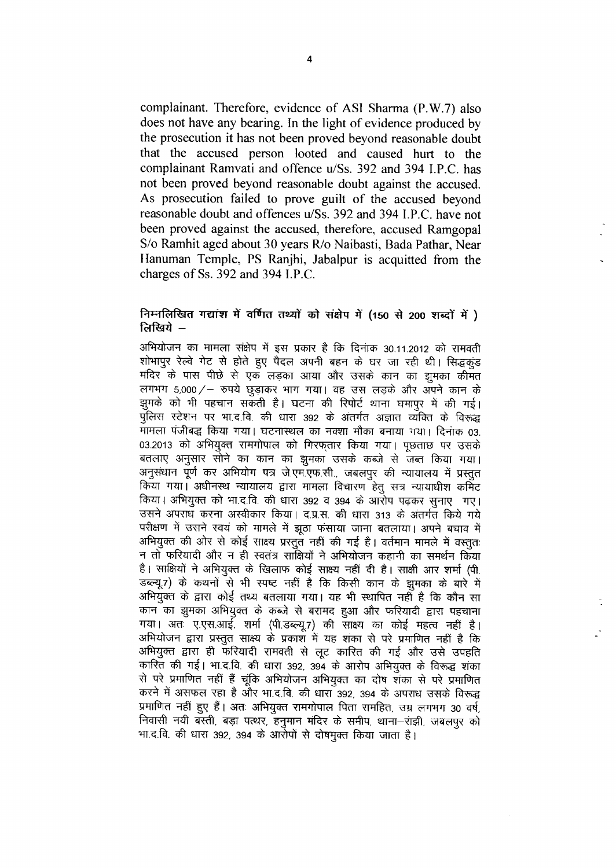complainant. Therefore, evidence of ASI Sharma (P.W.7) also does not have any bearing. In the light of evidence produced by the prosecution it has not been proved beyond reasonable doubt that the accused person looted and caused hurt to the complainant Ramvati and offence u/Ss. 392 and 394 I.P.C. has not been proved beyond reasonable doubt against the accused. As prosecution failed to prove guilt of the accused beyond reasonable doubt and offences u/Ss, 392 and 394 I.P.C. have not been proved against the accused, therefore, accused Ramgopal S/o Ramhit aged about 30 years R/o Naibasti, Bada Pathar, Near Hanuman Temple, PS Ranjhi, Jabalpur is acquitted from the charges of Ss. 392 and 394 I.P.C.

### निम्नलिखित गद्यांश में वर्णित तथ्यों को संक्षेप में (150 से 200 शब्दों में ) लिखिये –

अभियोजन का मामला संक्षेप में इस प्रकार है कि दिनांक 30.11.2012 को रामवती शोभापुर रेल्वे गेट से होते हुए पैदल अपनी बहन के घर जा रही थी। सिद्धकुंड मंदिर के पास पीछे से एक लड़का आया और उसके कान का झुमका कीमत लगभग 5,000 / - रुपये छुड़ाकर भाग गया। वह उस लड़के और अपने कान के झुमके को भी पहचान सकती है। घटना की रिपोर्ट थाना घमापुर में की गई। पुलिस स्टेशन पर भा.द.वि. की धारा 392 के अंतर्गत अज्ञात व्यक्ति के विरूद्ध मामला पंजीबद्ध किया गया। घटनास्थल का नक्शा मौका बनाया गया। दिनांक 03. 03.2013 को अभियुक्त रामगोपाल को गिरफतार किया गया। पछताछ पर उसके बतलाए अनुसार सोने का कान का झुमका उसके कब्जे से जब्त किया गया। अनुसंधान पूर्ण कर अभियोग पत्र जे.एम.एफ.सी., जबलपुर की न्यायालय में प्रस्तुत किया गया। अधीनस्थ न्यायालय द्वारा मामला विचारण हेतु सत्र न्यायाधीश कमिट किया। अभियुक्त को भा.द.वि. की धारा 392 व 394 के आरोप पढकर सुनाए गए। उसने अपराध करना अस्वीकार किया। द.प्र.स. की धारा 313 के अंतर्गत किये गये परीक्षण में उसने स्वयं को मामले में झूठा फंसाया जाना बतलाया। अपने बचाव में अभियुक्त की ओर से कोई साक्ष्य प्रस्तुत नहीं की गई है। वर्तमान मामले में वस्तुतः न तो फरियादी और न ही स्वतंत्र साक्षियों ने अभियोजन कहानी का समर्थन किया है। साक्षियों ने अभियुक्त के खिलाफ कोई साक्ष्य नहीं दी है। साक्षी आर शर्मा (पी. डब्ल्यू.7) के कथनों से भी स्पष्ट नहीं है कि किसी कान के झुमका के बारे में अभियुक्त के द्वारा कोई तथ्य बतलाया गया। यह भी स्थापित नहीं है कि कौन सा कान का झुमका अभियुक्त के कब्जे से बरामद हुआ और फरियादी द्वारा पहचाना गया। अत<sup>ें</sup> ए.एस.आई. शर्मा (पी.डब्ल्यू.7) की साक्ष्य का कोई महत्व नहीं है। अभियोजन द्वारा प्रस्तुत साक्ष्य के प्रकाश में यह शंका से परे प्रमाणित नहीं है कि अभियुक्त द्वारा ही फरियादी रामवती से लूट कारित की गई और उसे उपहति कारित की गई। भा.द.वि. की धारा 392, 394 के आरोप अभियुक्त के विरूद्ध शंका से परे प्रमाणित नहीं हैं चूंकि अभियोजन अभियुक्त का दोष शंका से परे प्रमाणित करने में असफल रहा है और भा.द.वि. की धारा 392, 394 के अपराध उसके विरूद्ध प्रमाणित नहीं हुए हैं। अतः अभियुक्त रामगोपाल पिता रामहित, उम्र लगभग 30 वर्ष, निवासी नयी बस्ती, बड़ा पत्थर, हनुमान मंदिर के समीप, थाना-राझी, जबलपुर को भा.द.वि. की धारा 392, 394 के आरोपों से दोषमुक्त किया जाता है।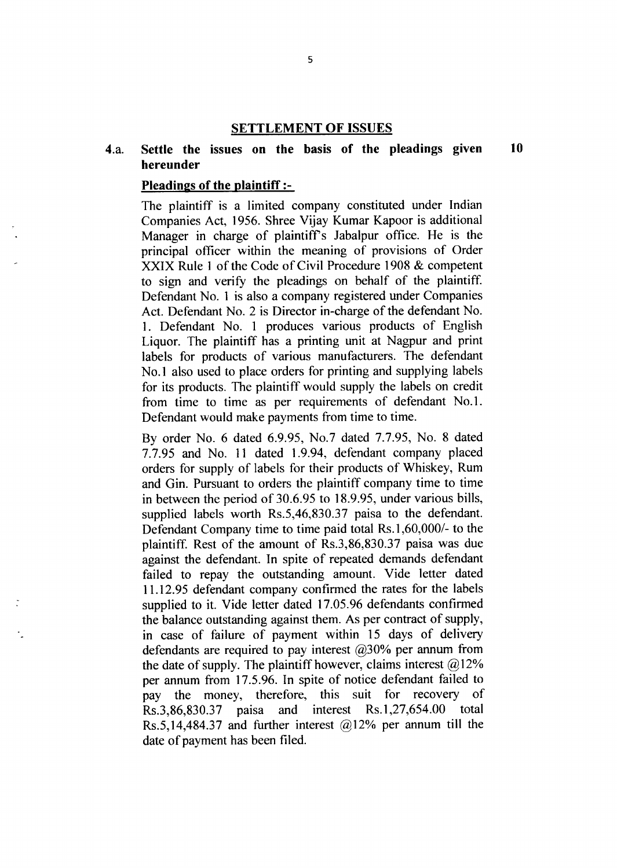# **SETTLEMENT OF ISSUES**

#### 4.a. Settle the issues on the basis of the pleadings given hereunder 10

### Pleadings of the plaintiff  $:-$

The plaintiff is a limited company constituted under Indian Companies Act,1956. Shree Vijay Kumar Kapoor is additional Manager in charge of plaintiff's Jabalpur office. He is the principal officer within the meaning of provisions of Order XXIX Rule I of the Code of civil Procedure 1908 & competent to sign and verify the pleadings on behalf of the plaintiff. Defendant No. I is also a company registered under Companies Act. Defendant No. 2 is Director in-charge of the defendant No. 1. Defendant No. 1 produces various products of English Liquor. The plaintiff has a printing unit at Nagpur and print labels for products of various manufacturers. The defendant No.1 also used to place orders for printing and supplying labels for its products. The plaintiff would supply the labels on credit from time to time as per requirements of defendant No.I. Defendant would make payments from time to time.

By order No. 6 dated 6.9.95, No.7 dated 7.7.95, No. 8 dated 7.7.95 and No.11 dated 1.9.94, defendant company placed orders for supply of labels for their products of Whiskey, Rum and Gin. Pursuant to orders the plaintiff company time to time in between the period of 30.6.95 to 18.9.95, under various bills, supplied labels worth Rs.5,46,830.37 paisa to the defendant. Defendant Company time to time paid total Rs.1,60,000/- to the plaintiff. Rest of the amount of Rs.3,86,830.37 paisa was due against the defendant. In spite of repeated demands defendant failed to repay the outstanding amount. Vide letter dated 11.12.95 defendant company confirmed the rates for the labels supplied to it. Vide letter dated 17.05.96 defendants confirmed the balance outstanding against them. As per contract of supply, in case of failure of payment within 15 days of delivery defendants are required to pay interest  $(2)$ 30% per annum from the date of supply. The plaintiff however, claims interest  $(2.12\%)$ per annum from 17.5.96. In spite of notice defendant failed to pay the money, therefore, this suit for recovery of pay the money, therefore, this suit for recovery of Rs.3.86.830.37 paisa and interest Rs.1,27,654.00 total Rs.3,86,830.37 paisa Rs.5,14,484.37 and further interest  $@12\%$  per annum till the date of payment has been filed.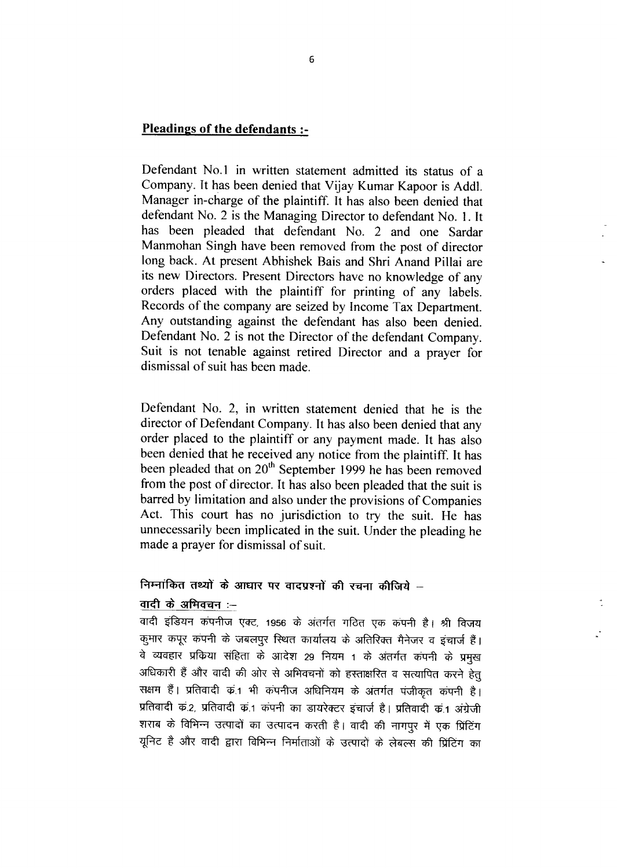# Pleadings of the defendants :-

Defendant No.1 in written statement admitted its status of a Company. It has been denied that Vijay Kumar Kapoor is Addl. Manager in-charge of the plaintiff. It has also been denied that defendant No. 2 is the Managing Director to defendant No. 1. It has been pleaded that defendant No. 2 and one Sardar Manmohan Singh have been removed from the post of director long back. At present Abhishek Bais and Shri Anand Pillai are its new Directors. Present Directors have no knowledge of any orders placed with the plaintiff for printing of any labels. Records of the company are seized by Income Tax Department. Any outstanding against the defendant has also been denied. Defendant No. 2 is not the Director of the defendant Company. Suit is not tenable against retired Director and a prayer for dismissal of suit has been made.

Defendant No. 2, in written statement denied that he is the director of Defendant Company. It has also been denied that any order placed to the plaintiff or any payment made. It has also been denied that he received any notice from the plaintiff. It has been pleaded that on 20<sup>th</sup> September 1999 he has been removed from the post of director. It has also been pleaded that the suit is barred by limitation and also under the provisions of Companies Act. This court has no jurisdiction to try the suit. He has unnecessarily been implicated in the suit. Under the pleading he made a prayer for dismissal of suit.

# निम्नांकित तथ्यों के आधार पर वादप्रश्नों की रचना कीजिये –

# वादी के अभिवचन :--

वादी इंडियन कंपनीज एक्ट, 1956 के अंतर्गत गठित एक कंपनी है। श्री विजय कुमार कपूर कंपनी के जबलपुर स्थित कार्यालय के अतिरिक्त मैनेजर व इंचार्ज हैं। वे व्यवहार प्रकिया संहिता के आदेश 29 नियम 1 के अंतर्गत कंपनी के प्रमुख अधिकारी हैं और वादी की ओर से अभिवचनों को हस्ताक्षरित व सत्यापित करने हेतु सक्षम हैं। प्रतिवादी का भी कंपनीज अधिनियम के अंतर्गत पंजीकृत कंपनी है। प्रतिवादी क.2, प्रतिवादी क.1 कंपनी का डायरेक्टर इंचार्ज है। प्रतिवादी क.1 अंग्रेजी शराब के विभिन्न उत्पादों का उत्पादन करती है। वादी की नागपुर में एक प्रिंटिंग यूनिट है और वादी द्वारा विभिन्न निर्माताओं के उत्पादों के लेबल्स की प्रिंटिंग का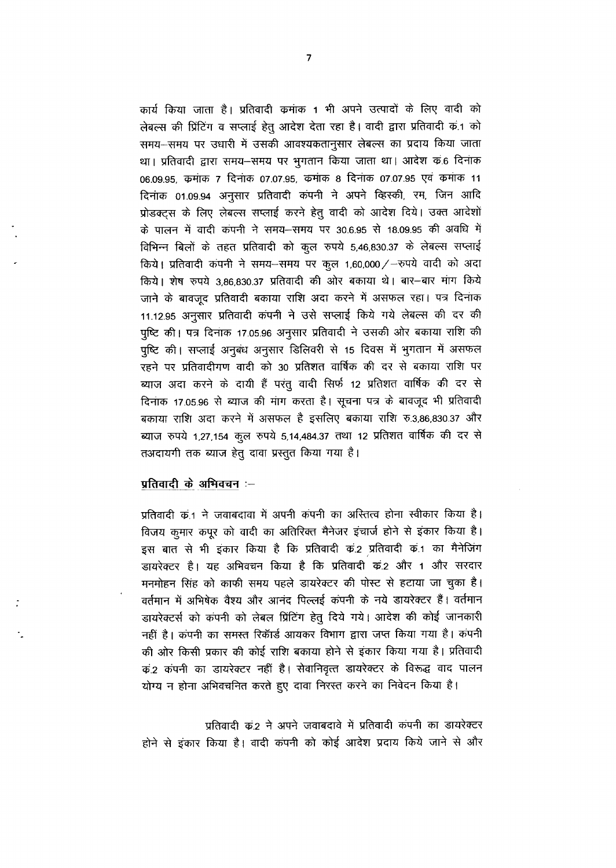कार्य किया जाता है। प्रतिवादी कमांक 1 भी अपने उत्पादों के लिए वादी को लेबल्स की प्रिंटिंग व सप्लाई हेतू आदेश देता रहा है। वादी द्वारा प्रतिवादी क.1 को समय-समय पर उधारी में उसकी आवश्यकतानुसार लेबल्स का प्रदाय किया जाता था। प्रतिवादी द्वारा समय-समय पर भुगतान किया जाता था। आदेश क6 दिनांक 06.09.95, कमांक 7 दिनांक 07.07.95, कमांक 8 दिनांक 07.07.95 एवं कमांक 11 दिनांक 01.09.94 अनुसार प्रतिवादी कंपनी ने अपने व्हिस्की, रम, जिन आदि प्रोडक्टस के लिए लेबल्स सप्लाई करने हेतू वादी को आदेश दिये। उक्त आदेशों के पालन में वादी कंपनी ने समय-समय पर 30.6.95 से 18.09.95 की अवधि में विभिन्न बिलों के तहत प्रतिवादी को कूल रुपये 5,46,830.37 के लेबल्स सप्लाई किये। प्रतिवादी कंपनी ने समय-समय पर कुल 1,60,000/-रुपये वादी को अदा किये। शेष रुपये 3,86,830.37 प्रतिवादी की ओर बकाया थे। बार-बार मांग किये जाने के बावजूद प्रतिवादी बकाया राशि अदा करने में असफल रहा। पत्र दिनांक 11.12.95 अनुसार प्रतिवादी कंपनी ने उसे सप्लाई किये गये लेबल्स की दर की पृष्टि की। पत्र दिनांक 17.05.96 अनुसार प्रतिवादी ने उसकी ओर बकाया राशि की पृष्टि की। सप्लाई अनुबंध अनुसार डिलिवरी से 15 दिवस में भुगतान में असफल रहने पर प्रतिवादीगण वादी को 30 प्रतिशत वार्षिक की दर से बकाया राशि पर ब्याज अदा करने के दायी हैं परंतु वादी सिर्फ 12 प्रतिशत वार्षिक की दर से दिनाक 17.05.96 से ब्याज की मांग करता है। सूचना पत्र के बावजूद भी प्रतिवादी बकाया राशि अदा करने में असफल है इसलिए बकाया राशि रु.3,86,830.37 और ब्याज रुपये 1,27,154 कूल रुपये 5,14,484.37 तथा 12 प्रतिशत वार्षिक की दर से तअदायगी तक ब्याज हेतु दावा प्रस्तुत किया गया है।

### प्रतिवादी के अभिवचन :-

प्रतिवादी का ने जवाबदावा में अपनी कंपनी का अस्तित्व होना स्वीकार किया है। विजय कुमार कपुर को वादी का अतिरिक्त मैनेजर इंचार्ज होने से इंकार किया है। इस बात से भी इकार किया है कि प्रतिवादी कं.2 प्रतिवादी कं.1 का मैनेजिंग डायरेक्टर है। यह अभिवचन किया है कि प्रतिवादी क2 और 1 और सरदार मनमोहन सिंह को काफी समय पहले डायरेक्टर की पोस्ट से हटाया जा चुका है। वर्तमान में अभिषेक वैश्य और आनंद पिल्लई कंपनी के नये डायरेक्टर हैं। वर्तमान डायरेक्टर्स को कंपनी को लेबल प्रिंटिंग हेतु दिये गये। आदेश की कोई जानकारी नहीं है। कंपनी का समस्त रिकॉर्ड आयकर विभाग द्वारा जप्त किया गया है। कंपनी की ओर किसी प्रकार की कोई राशि बकाया होने से इंकार किया गया है। प्रतिवादी क2ं कंपनी का डायरेक्टर नहीं है। सेवानिवृत्त डायरेक्टर के विरूद्ध वाद पालन योग्य न होना अभिवचनित करते हुए दावा निरस्त करने का निवेदन किया है।

प्रतिवादी क2 ने अपने जवाबदावे में प्रतिवादी कंपनी का डायरेक्टर होने से इंकार किया है। वादी कंपनी को कोई आदेश प्रदाय किये जाने से और

 $\overline{7}$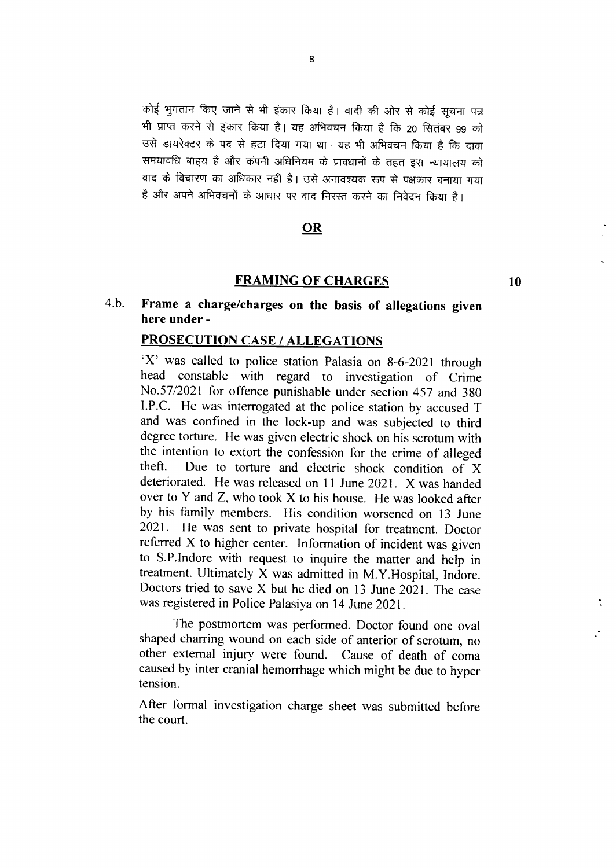कोई भुगतान किए जाने से भी इंकार किया है। वादी की ओर से कोई सूचना पत्र भी प्राप्त करने से इंकार किया है। यह अभिवचन किया है कि 20 सितंबर 99 को उसे डायरेक्टर के पद से हटा दिया गया था। यह भी अभिवचन किया है कि दावा समयावधि बाहय है और कंपनी अधिनियम के प्रावधानों के तहत इस न्यायालय को वाद के विचारण का अधिकार नहीं है। उसे अनावश्यक रूप से पक्षकार बनाया गया है और अपने अभिवचनों के आधार पर वाद निरस्त करने का निवेदन किया है।

## OR

### FRAMING 0F CHARGES

10

#### 4.b. Frame a charge/charges on the basis of allegations given here under -

## PROSECUTION CASE / ALLEGATIONS

`X' was called to police station Palasia on 8-6-2021 through head constable with regard to investigation of Crime No.57/2021 for offence punishable under section 457 and 380 I.P.C. He was interrogated at the police station by accused T and was confined in the lock-up and was subjected to third degree torture. He was given electric shock on his scrotum with the intention to extort the confession for the crime of alleged theft. Due to torture and electric shock condition of X deteriorated. He was released on 11 June 2021. X was handed over to Y and Z, who took X to his house. He was looked after by his family members. His condition worsened on 13 June 2021. He was sent to private hospital for treatment. Doctor referred X to higher center. Information of incident was given to S.P.Indore with request to inquire the matter and help in treatment. Ultimately X was admitted in M.Y.Hospital, Indore. Doctors tried to save X but he died on 13 June 2021. The case was registered in Police Palasiya on 14 June 2021.

The postmortem was performed. Doctor found one oval shaped charring wound on each side of anterior of scrotum, no other external injury were found. Cause of death of coma caused by inter cranial hemorrhage which might be due to hyper tension.

After formal investigation charge sheet was submitted before the court.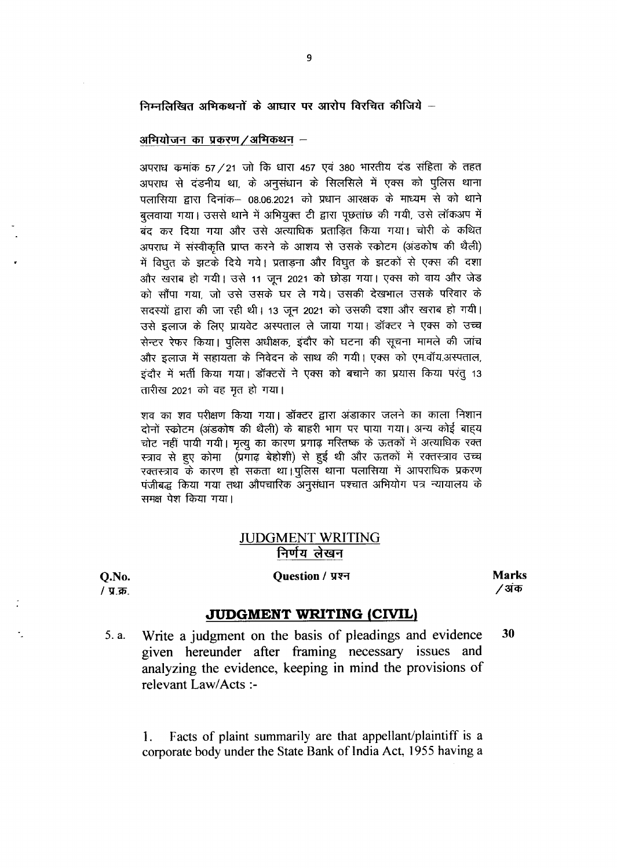निम्नलिखित अभिकथनों के आधार पर आरोप विरचित कीजिये -

### अभियोजन का प्रकरण/अभिकथन –

अपराध कमांक 57 / 21 जो कि धारा 457 एवं 380 भारतीय दंड संहिता के तहत अपराध से दंडनीय था, के अनुसंधान के सिलसिले में एक्स को पुलिस थाना पलासिया द्वारा दिनांक– 08.06.2021 को प्रधान आरक्षक के माध्यम से को थाने बुलवाया गया। उससे थाने में अभियुक्त टी द्वारा पूछतांछ की गयी, उसे लॉकअप में ्<br>बंद कर दिया गया और उसे अत्याधिक प्रताडित किया गया। चोरी के कथित अपराध में संस्वीकृति प्राप्त करने के आशय से उसके स्कोटम (अंडकोष की थैली) में विधत के झटके दिये गये। प्रताडना और विघुत के झटकों से एक्स की दशा और खराब हो गयी। उसे 11 जून 2021 को छोड़ा गया। एक्स को वाय और जेड को सौंपा गया, जो उसे उसके घर ले गये। उसकी देखभाल उसके परिवार के सदस्यों द्वारा की जा रही थी। 13 जून 2021 को उसकी दशा और खराब हो गयी। उसे इलाज के लिए प्रायवेट अस्पताल ले जाया गया। डॉक्टर ने एक्स को उच्च सेन्टर रेफर किया। पुलिस अधीक्षक, इंदौर को घटना की सूचना मामले की जांच और इलाज में सहायता के निवेदन के साथ की गयी। एक्स को एम.वॉय.अस्पताल, इंदौर में भर्ती किया गया। डॉक्टरों ने एक्स को बचाने का प्रयास किया परंतू 13 तारीख 2021 को वह मृत हो गया।

शव का शव परीक्षण किया गया। डॉक्टर द्वारा अंडाकार जलने का काला निशान दोनों स्कोटम (अड़कोष की थैली) के बाहरी भाग पर पाया गया। अन्य कोई बाहय चोट नहीं पायी गयी। मृत्यू का कारण प्रगाढ़ मस्तिष्क के ऊतकों में अत्याधिक रक्त स्त्राव से हुए कोमा (प्रगाढ़ बेहोशी) से हुई थी और ऊतकों में रक्तस्त्राव उच्च रक्तस्त्राव के कारण हो सकता था।पुलिस थाना पलासिया में आपराधिक प्रकरण पंजीबद्ध किया गया तथा औपचारिक अनुसंधान पश्चात अभियोग पत्र न्यायालय के समक्ष पेश किया गया।

# **JUDGMENT WRITING** निर्णय लेखन

O.No. / प्र.क्र.

### **Ouestion / प्रश्न**

**Marks** ∕ अंक

### **JUDGMENT WRITING (CIVIL)**

30 5. a. Write a judgment on the basis of pleadings and evidence given hereunder after framing necessary issues and analyzing the evidence, keeping in mind the provisions of relevant Law/Acts :-

Facts of plaint summarily are that appellant/plaintiff is a 1. corporate body under the State Bank of India Act, 1955 having a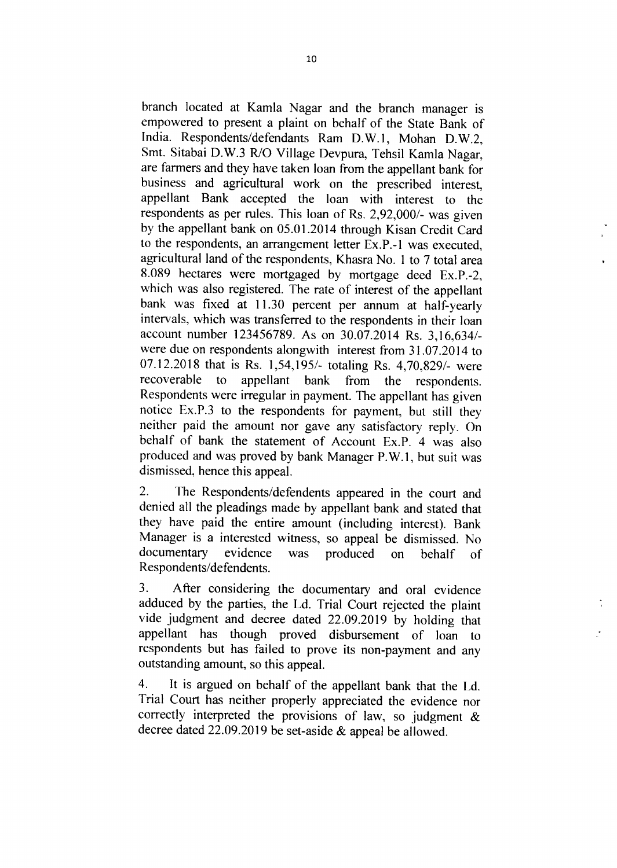branch located at Kamla Nagar and the branch manager is empowered to present a plaint on behalf of the State Bank of India. Respondents/defendants Ram D.W.1, Mohan D.W.2, Smt. Sitabai D.W.3 R/O Village Devpura, Tehsil Kamla Nagar, are farmers and they have taken loan from the appellant bank for business and agricultural work on the prescribed interest, appellant Bank accepted the loan with interest to the respondents as per rules. This loan of Rs. 2,92,000/- was given by the appellant bank on 05.01.2014 through Kisan Credit Card to the respondents, an arrangement letter Ex.P.-1 was executed, agricultural land of the respondents, Khasra No. I to 7 total area 8.089 hectares were mortgaged by mortgage deed Ex.P.-2, which was also registered. The rate of interest of the appellant bank was fixed at 11.30 percent per annum at half-yearly intervals, which was transferred to the respondents in their loan account number 123456789. As on 30.07.2014 Rs. 3,16,634/ were due on respondents alongwith interest from 31.07.2014 to 07.12.2018 that is Rs. 1,54,195/- totaling Rs. 4,70,829/- were recoverable to appellant bank from the respondents. Respondents were irregular in payment. The appellant has given notice Ex.P.3 to the respondents for payment, but still they neither paid the amount nor gave any satisfactory reply. On behalf of bank the statement of Account Ex.P. 4 was also produced and was proved by bank Manager P.W.1, but suit was dismissed, hence this appeal.

2. The Respondents/defendents appeared in the court and denied all the pleadings made by appellant bank and stated that they have paid the entire amount (including interest). Bank Manager is a interested witness, so appeal be dismissed. No documentary evidence was produced on behalf of Respondents/defendents.

3. After considering the documentary and oral evidence adduced by the parties, the Ld. Trial Court rejected the plaint vide judgment and decree dated 22.09.2019 by holding that appellant has though proved disbursement of loan to respondents but has failed to prove its non-payment and any outstanding amount, so this appeal.

4. It is argued on behalf of the appellant bank that the Ld. Trial Court has neither properly appreciated the evidence nor correctly interpreted the provisions of law, so judgment & decree dated 22.09.2019 be set-aside & appeal be allowed.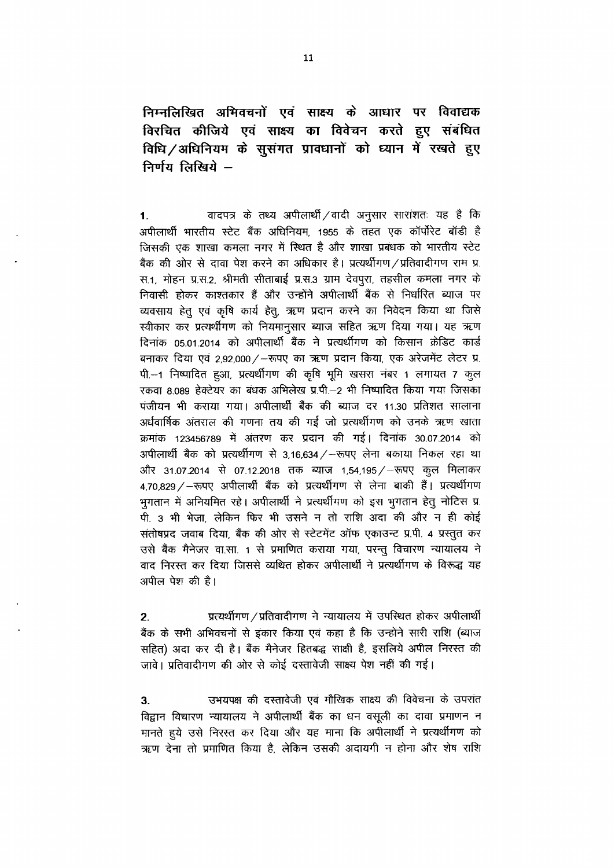निम्नलिखित अभिवचनों एवं साक्ष्य के आधार पर विवाद्यक विरचित कीजिये एवं साक्ष्य का विवेचन करते हुए संबंधित विधि / अधिनियम के सुसंगत प्रावधानों को ध्यान में रखते हुए निर्णय लिखिये -

वादपत्र के तथ्य अपीलार्थी / वादी अनुसार सारांशतः यह है कि  $1.$ अपीलार्थी भारतीय स्टेट बैंक अधिनियम, 1955 के तहत एक कॉर्पोरेट बॉडी है जिसकी एक शाखा कमला नगर में स्थित है और शाखा प्रबंधक को भारतीय स्टेट बैंक की ओर से दावा पेश करने का अधिकार है। प्रत्यर्थीगण /प्रतिवादीगण राम प्र स.1, मोहन प्र.स.2, श्रीमती सीताबाई प्र.स.3 ग्राम देवपूरा, तहसील कमला नगर के निवासी होकर काश्तकार हैं और उन्होंने अपीलार्थी बैंक से निर्धारित ब्याज पर व्यवसाय हेतु एवं कृषि कार्य हेतु, ऋण प्रदान करने का निवेदन किया था जिसे स्वीकार कर प्रत्यर्थीगण को नियमानुसार ब्याज सहित ऋण दिया गया। यह ऋण दिनांक 05.01.2014 को अपीलार्थी बैंक ने प्रत्यर्थीगण को किसान क्रेडिट कार्ड बनाकर दिया एवं 2,92,000 / - रूपए का ऋण प्रदान किया, एक अरेजमेंट लेटर प्र. पी.--1 निष्पादित हुआ, प्रत्यर्थीगण की कृषि भूमि खसरा नंबर 1 लगायत 7 कुल रकवा 8.089 हेक्टेयर का बंधक अभिलेख प्र.पी.-2 भी निष्पादित किया गया जिसका पंजीयन भी कराया गया। अपीलार्थी बैंक की ब्याज दर 11.30 प्रतिशत सालाना अर्धवार्षिक अंतराल की गणना तय की गई जो प्रत्यर्थीगण को उनके ऋण खाता क्रमांक 123456789 में अंतरण कर प्रदान की गई। दिनांक 30.07.2014 को अपीलार्थी बैंक को प्रत्यर्थीगण से 3.16.634 / – रूपए लेना बकाया निकल रहा था और 31.07.2014 से 07.12.2018 तक ब्याज 1,54,195 / - रूपए कुल मिलाकर 4,70,829 / - रूपए अपीलार्थी बैंक को प्रत्यर्थीगण से लेना बाकी हैं। प्रत्यर्थीगण भुगतान में अनियमित रहे। अपीलार्थी ने प्रत्यर्थीगण को इस भूगतान हेतू नोटिस प्र पी. 3 भी भेजा, लेकिन फिर भी उसने न तो राशि अदा की और न ही कोई संतोषप्रद जवाब दिया, बैंक की ओर से स्टेटमेंट ऑफ एकाउन्ट प्र.पी. 4 प्रस्तुत कर उसे बैंक मैनेजर वा.सा. 1 से प्रमाणित कराया गया, परन्तु विचारण न्यायालय ने वाद निरस्त कर दिया जिससे व्यथित होकर अपीलार्थी ने प्रत्यर्थीगण के विरूद्ध यह अपील पेश की है।

प्रत्यर्थीगण / प्रतिवादीगण ने न्यायालय में उपस्थित होकर अपीलार्थी  $2<sub>1</sub>$ बैंक के सभी अभिवचनों से इंकार किया एवं कहा है कि उन्होंने सारी राशि (ब्याज सहित) अदा कर दी है। बैंक मैनेजर हितबद्ध साक्षी है, इसलिये अपील निरस्त की जावे। प्रतिवादीगण की ओर से कोई दस्तावेजी साक्ष्य पेश नहीं की गई।

उभयपक्ष की दस्तावेजी एवं मौखिक साक्ष्य की विवेचना के उपरांत  $3<sub>1</sub>$ विद्वान विचारण न्यायालय ने अपीलार्थी बैंक का धन वसूली का दावा प्रमाणन न मानते हुये उसे निरस्त कर दिया और यह माना कि अपीलार्थी ने प्रत्यर्थीगण को ऋण देना तो प्रमाणित किया है, लेकिन उसकी अदायगी न होना और शेष राशि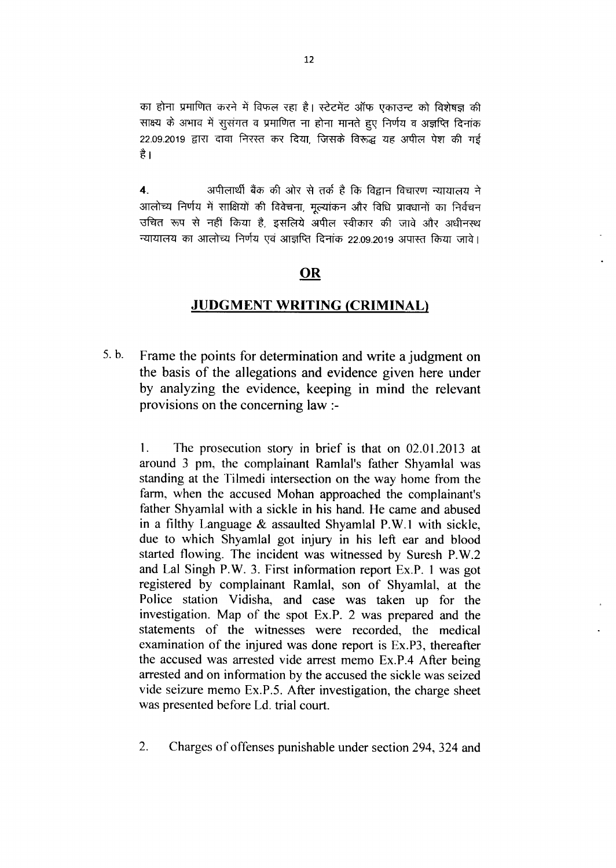का होना प्रमाणित करने में विफल रहा है। स्टेटमेंट ऑफ एकाउन्ट को विशेषज्ञ की साक्ष्य के अभाव में सूसंगत व प्रमाणित ना होना मानते हुए निर्णय व अज्ञप्ति दिनांक 22.09.2019 द्वारा दावा निरस्त कर दिया, जिसके विरूद्ध यह अपील पेश की गई €1

4. 3TtPrendi as tfl Gin ti ed a fS frFT faiTTFT T{iitiid<i i आलोच्य निर्णय में साक्षियों की विवेचना, मुल्यांकन और विधि प्रावधानों का निर्वचन उचित रूप से नहीं किया है, इसलिये अपील स्वीकार की जावे और अधीनस्थ न्यायालय का आलोच्य निर्णय एवं आज्ञप्ति दिनांक 22.09.2019 अपास्त किया जावे।

# OR

# **JUDGMENT WRITING (CRIMINAL)**

5.b. Frame the points for determination and write a judgment on the basis of the allegations and evidence given here under by analyzing the evidence, keeping in mind the relevant provisions on the concerning law :-

I. The prosecution story in brief is that on 02.01.2013 at around 3 pm, the complainant Ramlal's father Shyamlal was standing at the Tilmedi intersection on the way home from the farm, when the accused Mohan approached the complainant's father Shyamlal with a sickle in his hand. He came and abused in a filthy Language  $&$  assaulted Shyamlal P.W.1 with sickle, due to which Shyamlal got injury in his left ear and blood started flowing. The incident was witnessed by Suresh P.W.2 and Lal Singh P.W. 3. First information report Ex.P. 1 was got registered by complainant Ramlal, son of Shyamlal, at the Police station Vidisha, and case was taken up for the investigation. Map of the spot Ex.P. 2 was prepared and the statements of the witnesses were recorded, the medical examination of the injured was done report is Ex.P3, thereafter the accused was arrested vide arrest memo Ex.P.4 After being arrested and on information by the accused the sickle was seized vide seizure memo Ex.P.5. After investigation, the charge sheet was presented before Ld. trial court.

2. Charges of offenses punishable under section 294, 324 and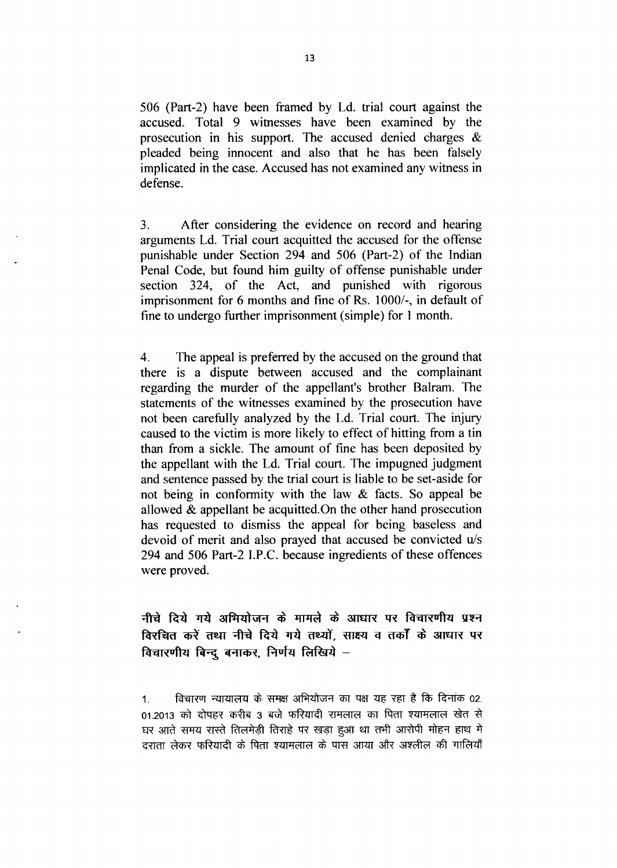506 (Part-2) have been framed by Ld. trial court against the accused. Total 9 witnesses have been examined by the prosecution in his support. The accused denied charges  $\&$ pleaded being innocent and also that he has been falsely implicated in the case. Accused has not examined any witness in defense.

 $3<sub>1</sub>$ After considering the evidence on record and hearing arguments Ld. Trial court acquitted the accused for the offense punishable under Section 294 and 506 (Part-2) of the Indian Penal Code, but found him guilty of offense punishable under section 324, of the Act, and punished with rigorous imprisonment for 6 months and fine of Rs. 1000/-, in default of fine to undergo further imprisonment (simple) for 1 month.

 $\overline{4}$ . The appeal is preferred by the accused on the ground that there is a dispute between accused and the complainant regarding the murder of the appellant's brother Balram. The statements of the witnesses examined by the prosecution have not been carefully analyzed by the Ld. Trial court. The injury caused to the victim is more likely to effect of hitting from a tin than from a sickle. The amount of fine has been deposited by the appellant with the Ld. Trial court. The impugned judgment and sentence passed by the trial court is liable to be set-aside for not being in conformity with the law & facts. So appeal be allowed  $\&$  appellant be acquitted. On the other hand prosecution has requested to dismiss the appeal for being baseless and devoid of merit and also prayed that accused be convicted u/s 294 and 506 Part-2 I.P.C. because ingredients of these offences were proved.

नीचे दिये गये अभियोजन के मामले के आधार पर विचारणीय प्रश्न विरचित करें तथा नीचे दिये गये तथ्यों. साक्ष्य व तर्कों के आधार पर विचारणीय बिन्द बनाकर, निर्णय लिखिये -

विचारण न्यायालय के समक्ष अभियोजन का पक्ष यह रहा है कि दिनांक 02.  $1<sup>1</sup>$ 01.2013 को दोपहर करीब 3 बजे फरियादी रामलाल का पिता श्यामलाल खेत से घर आते समय रास्ते तिलमेड़ी तिराहे पर खड़ा हुआ था तभी आरोपी मोहन हाथ में दराता लेकर फरियादी के पिता श्यामलाल के पास आया और अश्लील की गालियाँ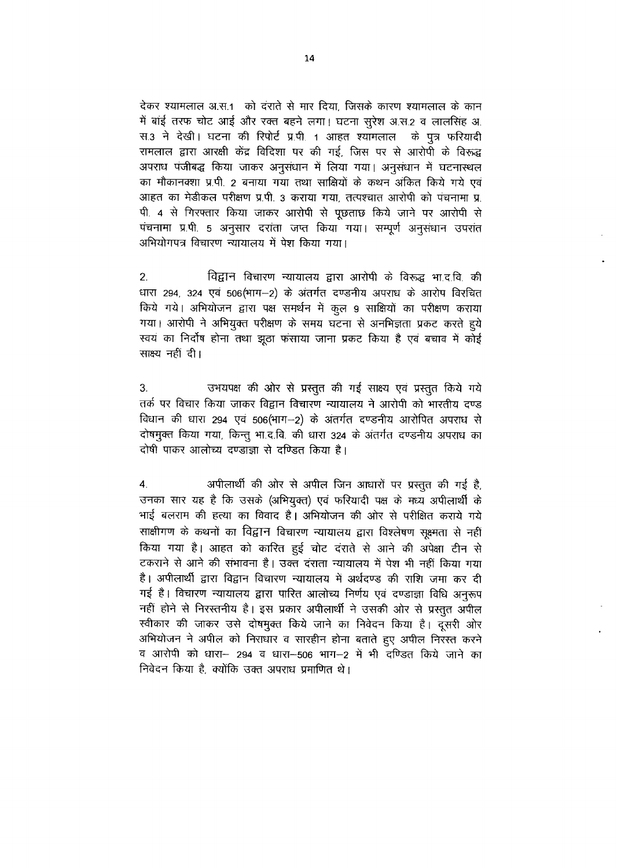देकर श्यामलाल अ.स.1) को दराते से मार दिया, जिसके कारण श्यामलाल के कान में बांई तरफ चोट आई और रक्त बहने लगा। घटना सूरेश अ.स.2 व लालसिंह अ. स.3 ने देखी। घटना की रिपोर्ट प्र.पी. 1 आहत श्यामलाल के पुत्र फरियादी रामलाल द्वारा आरक्षी केंद्र विदिशा पर की गई, जिस पर से आरोपी के विरूद्ध अपराध पंजीबद्ध किया जाकर अनुसंधान में लिया गया। अनुसंधान में घटनास्थल का मौकानक्शा प्र.पी. 2 बनाया गया तथा साक्षियों के कथन अंकित किये गये एवं आहत का मेडीकल परीक्षण प्र.पी. 3 कराया गया. तत्पश्चात आरोपी को पंचनामा प्र पी. 4 से गिरफ्तार किया जाकर आरोपी से पुछताछ किये जाने पर आरोपी से पंचनामा प्र.पी. 5 अनुसार दरांता जप्त किया गया। सम्पर्ण अनुसंधान उपरांत अभियोगपत्र विचारण न्यायालय में पेश किया गया।

 $\overline{2}$ . विद्वान विचारण न्यायालय द्वारा आरोपी के विरूद्ध भा.द.वि. की धारा 294 324 एवं 506(भाग-2) के अंतर्गत दण्डनीय अपराध के आरोप विरचित किये गये। अभियोजन द्वारा पक्ष समर्थन में कुल 9 साक्षियों का परीक्षण कराया गया। आरोपी ने अभियुक्त परीक्षण के समय घटना से अनभिज्ञता प्रकट करते हुये स्वयं का निर्दोष होना तथा झुठा फंसाया जाना प्रकट किया है एवं बचाव में कोई साक्ष्य नहीं दी।

उभयपक्ष की ओर से प्रस्तुत की गई साक्ष्य एवं प्रस्तुत किये गये 3. तर्क पर विचार किया जाकर विद्वान विचारण न्यायालय ने आरोपी को भारतीय दण्ड विधान की धारा 294 एवं 506(भाग-2) के अंतर्गत दण्डनीय आरोपित अपराध से दोषमुक्त किया गया, किन्तु भा.द.वि. की धारा 324 के अंतर्गत दण्डनीय अपराध का दोषी पाकर आलोच्य दण्डाजा से दण्डित किया है।

अपीलार्थी की ओर से अपील जिन आधारों पर प्रस्तुत की गई है,  $\overline{4}$ उनका सार यह है कि उसके (अभियुक्त) एवं फरियादी पक्ष के मध्य अपीलार्थी के भाई बलराम की हत्या का विवाद है। अभियोजन की ओर से परीक्षित कराये गये साक्षीगण के कथनों का विद्वान विचारण न्यायालय द्वारा विश्लेषण सूक्ष्मता से नहीं किया गया है। आहत को कारित हुई चोट दराते से आने की अपेक्षा टीन से टकराने से आने की संभावना है। उक्त दराता न्यायालय में पेश भी नहीं किया गया है। अपीलार्थी द्वारा विद्वान विचारण न्यायालय में अर्थदण्ड की राशि जमा कर दी गई है। विचारण न्यायालय द्वारा पारित आलोच्य निर्णय एवं दण्डाज्ञा विधि अनुरूप नहीं होने से निरस्तनीय है। इस प्रकार अपीलार्थी ने उसकी ओर से प्रस्तुत अपील स्वीकार की जाकर उसे दोषमुक्त किये जाने का निवेदन किया है। दुसरी ओर अभियोजन ने अपील को निराधार व सारहीन होना बताते हुए अपील निरस्त करने व आरोपी को धारा- 294 व धारा-506 भाग-2 में भी दण्डित किये जाने का निवेदन किया है. क्योंकि उक्त अपराध प्रमाणित थे।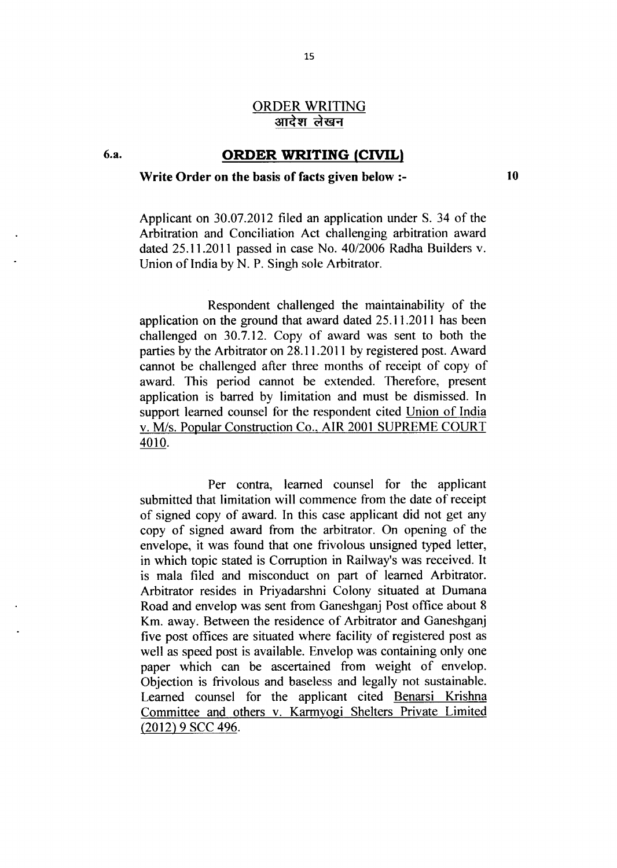### ORDER WRITING आदेश लेखन

# 6.a. **ORDER WRITING (CIVIL)**

### Write Order on the basis of facts given below :-

10

Applicant on 30.07.2012 filed an application under S. 34 of the Arbitration and Conciliation Act challenging arbitration award dated 25.11.2011 passed in case No. 40/2006 Radha Builders v. Union of India by N. P. Singh sole Arbitrator.

Respondent challenged the maintainability of the application on the ground that award dated 25.11.2011 has been challenged on 30.7.12. Copy of award was sent to both the parties by the Arbitrator on 28.11.2011 by registered post. Award cannot be challenged after three months of receipt of copy of award. This period cannot be extended. Therefore, present application is barred by limitation and must be dismissed. In support learned counsel for the respondent cited Union of India v. M/s. Popular Construction Co.. AIR 2001 SUPREME COURT 4010.

Per contra, learned counsel for the applicant submitted that limitation will commence from the date of receipt of signed copy of award. In this case applicant did not get any copy of signed award from the arbitrator. On opening of the envelope, it was found that one frivolous unsigned typed letter, in which topic stated is Cormption in Railway's was received. It is mala filed and misconduct on part of learned Arbitrator. Arbitrator resides in Priyadarshni Colony situated at Dumana Road and envelop was sent from Ganeshganj Post office about 8 Km. away. Between the residence of Arbitrator and Ganeshganj five post offices are situated where facility of registered post as well as speed post is available. Envelop was containing only one paper which can be ascertained from weight of envelop. Objection is ffivolous and baseless and legally not sustainable. Learned counsel for the applicant cited Benarsi Krishna Committee and others v. Karmyogi Shelters Private Limited (2012) 9 SCC 496.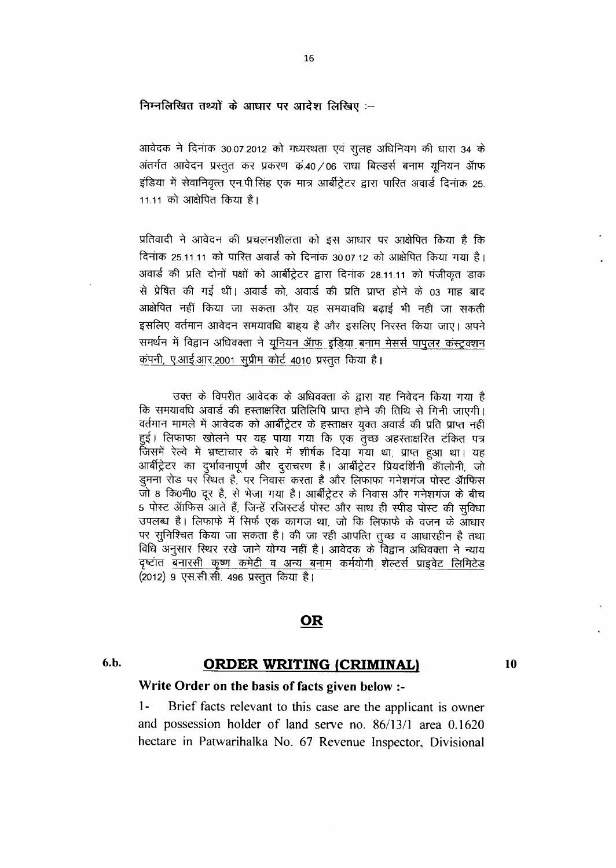निम्नलिखित तथ्यों के आधार पर आदेश लिखिए :-

आवेदक ने दिनांक 30.07.2012 को मध्यस्थता एवं सुलह अधिनियम की धारा 34 के अंतर्गत आवेदन प्रस्तुत कर प्रकरण कं.40 / 06 राधा बिल्डर्स बनाम युनियन ऑफ इंडिया में सेवानिवृत्त एन.पी.सिंह एक मात्र आर्बीट्रेटर द्वारा पारित अवार्ड दिनांक 25. 11.11 को आक्षेपित किया है।

प्रतिवादी ने आवेदन की प्रचलनशीलता को इस आधार पर आक्षेपित किया है कि दिनाक 25.11.11 को पारित अवार्ड को दिनांक 30.07.12 को आक्षेपित किया गया है। अवार्ड की प्रति दोनों पक्षों को आर्बीट्रेटर द्वारा दिनाक 28.11.11 को पंजीकत डाक से प्रेषित की गई थीं। अवार्ड को, अवार्ड की प्रति प्राप्त होने के 03 माह बाद आक्षेपित नहीं किया जा सकता और यह समयावधि बढ़ाई भी नहीं जा सकती इसलिए वर्तमान आवेदन समयावधि बाहय है और इसलिए निरस्त किया जाए। अपने समर्थन में विद्वान अधिवक्ता ने <u>यूनियन ऑफ इंडिया बनाम मेसर्स पापुलर कंस्ट्रक्शन</u> कंपनी, ए.आई.आर.2001 सुप्रीम कोर्ट 4010 प्रस्तुत किया है।

उक्त के विपरीत आवेदक के अधिवक्ता के द्वारा यह निवेदन किया गया है कि समयावधि अवार्ड की हस्ताक्षरित प्रतिलिपि प्राप्त होने की तिथि से गिनी जाएगी। वर्तमान मामले में आवेदक को आर्बीट्रेटर के हस्ताक्षर युक्त अवार्ड की प्रति प्राप्त नहीं हुई। लिफाफा खोलने पर यह पाया गया कि एक तुच्छ अहस्ताक्षरित टंकित पत्र जिसमें रेल्वे में भ्रष्टाचार के बारे में शीर्षक दिया गया था, प्राप्त हुआ था। यह आर्बीट्रेटर का दुर्भावनापूर्ण और दुराचरण है। आर्बीट्रेटर प्रियदर्शिनी कॉलोनी, जो इमना रोड पर स्थित है, पर निवास करता है और लिफाफा गनेशगंज पोस्ट ऑफिस जो 8 कि0मी0 दूर है, से भेजा गया है। आर्बीट्रेटर के निवास और गनेशगंज के बीच 5 पोस्ट ऑफिस आते हैं, जिन्हें रजिस्टर्ड पोस्ट और साथ ही स्पीड पोस्ट की सुविधा उपलब्ध है। लिफाफे में सिर्फ एक कागज था, जो कि लिफाफे के वजन के आधार पर सुनिश्चित किया जा सकता है। की जा रही आपत्ति तुच्छ व आधारहीन है तथा विधि अनुसार स्थिर रखे जाने योग्य नहीं है। आवेदक के विद्वान अधिवक्ता ने न्याय दृष्टांत बनारसी कृष्ण कमेटी व अन्य बनाम कर्मयोगी शेल्टर्स प्राइवेट लिमिटेड (2012) 9 एस.सी.सी. 496 प्रस्तुत किया है।

# **OR**

### 6.b.

# ORDER WRITING (CRIMINAL)

10

### Write Order on the basis of facts given below :-

 $1 -$ Brief facts relevant to this case are the applicant is owner and possession holder of land serve no. 86/13/1 area 0.1620 hectare in Patwarihalka No. 67 Revenue Inspector, Divisional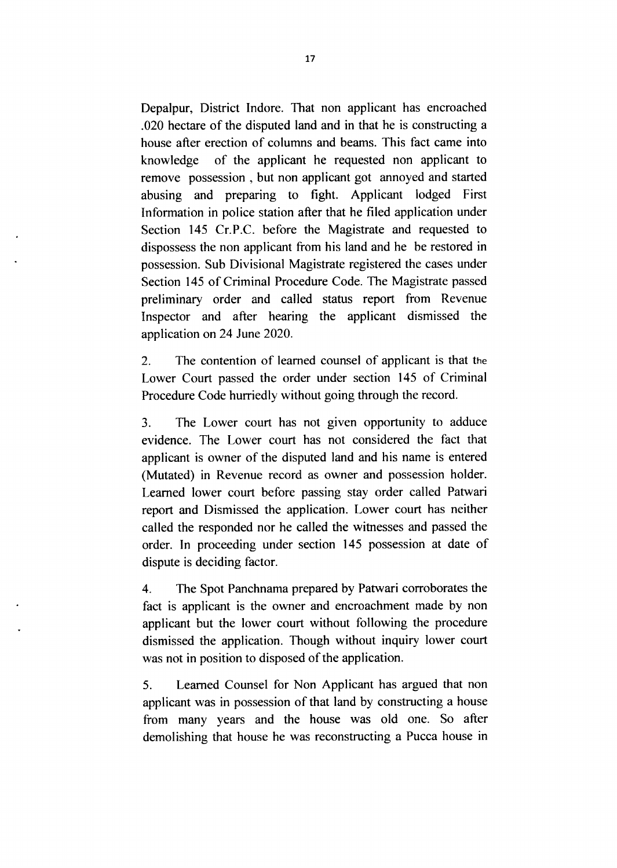Depalpur, District lndore. That non applicant has encroached .020 hectare of the disputed land and in that he is constructing a house after erection of columns and beams. This fact came into knowledge of the applicant he requested non applicant to remove possession , but non applicant got annoyed and started abusing and preparing to fight. Applicant lodged First Information in police station after that he filed application under Section 145 Cr.P.C. before the Magistrate and requested to dispossess the non applicant from his land and he be restored in possession. Sub Divisional Magistrate registered the cases under Section 145 of criminal Procedure Code. The Magistrate passed preliminary order and called status report from Revenue Inspector and after hearing the applicant dismissed the application on 24 June 2020.

2. The contention of learned counsel of applicant is that the Lower Court passed the order under section 145 of Criminal Procedure Code hurriedly without going through the record.

3. The Lower court has not given opportunity to adduce evidence. The Lower court has not considered the fact that applicant is owner of the disputed land and his name is entered (Mutated) in Revenue record as owner and possession holder. Learned lower court before passing stay order called Patwari report and Dismissed the application. Lower court has neither called the responded nor he called the witnesses and passed the order. In proceeding under section 145 possession at date of dispute is deciding factor.

4. The spot panchnama prepared by patwari corroborates the fact is applicant is the owner and encroachment made by non applicant but the lower court without following the procedure dismissed the application. Though without inquiry lower court was not in position to disposed of the application.

5. Learned Counsel for Non Applicant has argued that non applicant was in possession of that land by constructing a house from many years and the house was old one. So after demolishing that house he was reconstructing a Pucca house in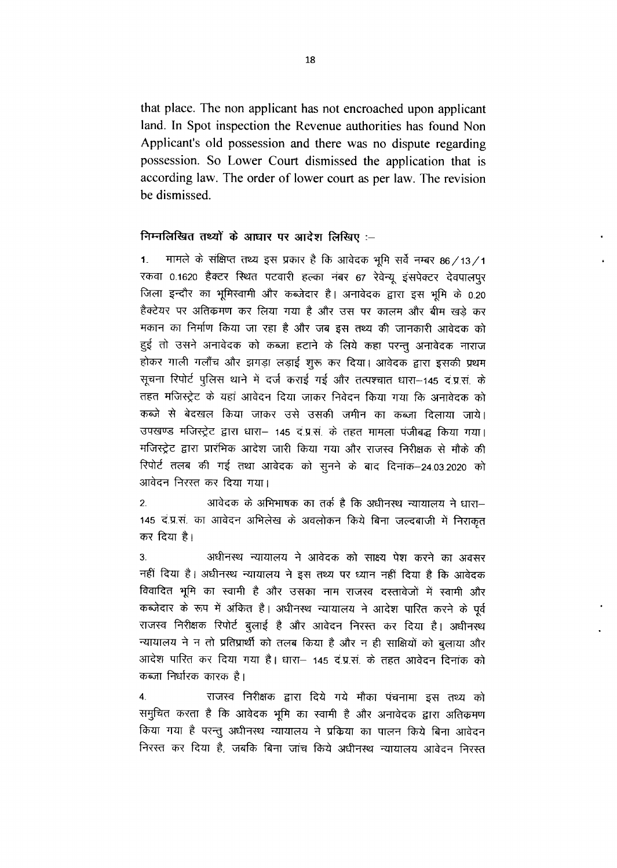that place. The non applicant has not encroached upon applicant land. In Spot inspection the Revenue authorities has found Non Applicant's old possession and there was no dispute regarding possession. So Lower Court dismissed the application that is according law. The order of lower court as per law. The revision be dismissed.

### निम्नलिखित तथ्यों के आधार पर आदेश लिखिए :-

मामले के संक्षिप्त तथ्य इस प्रकार है कि आवेदक भूमि सर्वे नम्बर 86 / 13 / 1  $1<sub>1</sub>$ रकवा 0.1620 हैक्टर स्थित पटवारी हल्का नंबर 67 रेवेन्यू इंसपेक्टर देवपालपुर जिला इन्दौर का भूमिस्वामी और कब्जेदार है। अनावेदक द्वारा इस भूमि के 0.20 हैक्टेयर पर अतिक्रमण कर लिया गया है और उस पर कालम और बीम खड़े कर मकान का निर्माण किया जा रहा है और जब इस तथ्य की जानकारी आवेदक को हुई तो उसने अनावेदक को कब्जा हटाने के लिये कहा परन्तु अनावेदक नाराज होकर गाली गलौंच और झगड़ा लड़ाई शुरू कर दिया। आवेदक द्वारा इसकी प्रथम सूचना रिपोर्ट पुलिस थाने में दर्ज कराई गई और तत्पश्चात धारा-145 दं.प्र.सं. के तहत मजिस्ट्रेट के यहां आवेदन दिया जाकर निवेदन किया गया कि अनावेदक को कब्जे से बेदखल किया जाकर उसे उसकी जमीन का कब्जा दिलाया जाये। उपखण्ड मजिस्ट्रेट द्वारा धारा– 145 द.प्र.सं. के तहत मामला पंजीबद्ध किया गया। मजिस्ट्रेट द्वारा प्रारंभिक आदेश जारी किया गया और राजस्व निरीक्षक से मौके की रिपोर्ट तलब की गई तथा आवेदक को सूनने के बाद दिनांक-24.03.2020 को आवेदन निरस्त कर दिया गया।

आवेदक के अभिभाषक का तर्क है कि अधीनस्थ न्यायालय ने धारा- $\overline{2}$ . 145 दं.प्र.सं. का आवेदन अभिलेख के अवलोकन किये बिना जल्दबाजी में निराकृत कर दिया है।

अधीनस्थ न्यायालय ने आवेदक को साक्ष्य पेश करने का अवसर  $3<sub>1</sub>$ नहीं दिया है। अधीनस्थ न्यायालय ने इस तथ्य पर ध्यान नहीं दिया है कि आवेदक विवादित भूमि का स्वामी है और उसका नाम राजस्व दस्तावेजों में स्वामी और कब्जेदार के रूप में अंकित है। अधीनस्थ न्यायालय ने आदेश पारित करने के पूर्व राजस्व निरीक्षक रिपोर्ट बुलाई है और आवेदन निरस्त कर दिया है। अधीनस्थ न्यायालय ने न तो प्रतिप्रार्थी को तलब किया है और न ही साक्षियों को बुलाया और आदेश पारित कर दिया गया है। धारा– 145 दं.प्र.सं. के तहत आवेदन दिनांक को कब्जा निर्धारक कारक है।

राजस्व निरीक्षक द्वारा दिये गये मौका पंचनामा इस तथ्य को  $\overline{4}$ . समुचित करता है कि आवेदक भूमि का स्वामी है और अनावेदक द्वारा अतिक्रमण किया गया है परन्तु अधीनस्थ न्यायालय ने प्रक्रिया का पालन किये बिना आवेदन निरस्त कर दिया है, जबकि बिना जांच किये अधीनस्थ न्यायालय आवेदन निरस्त